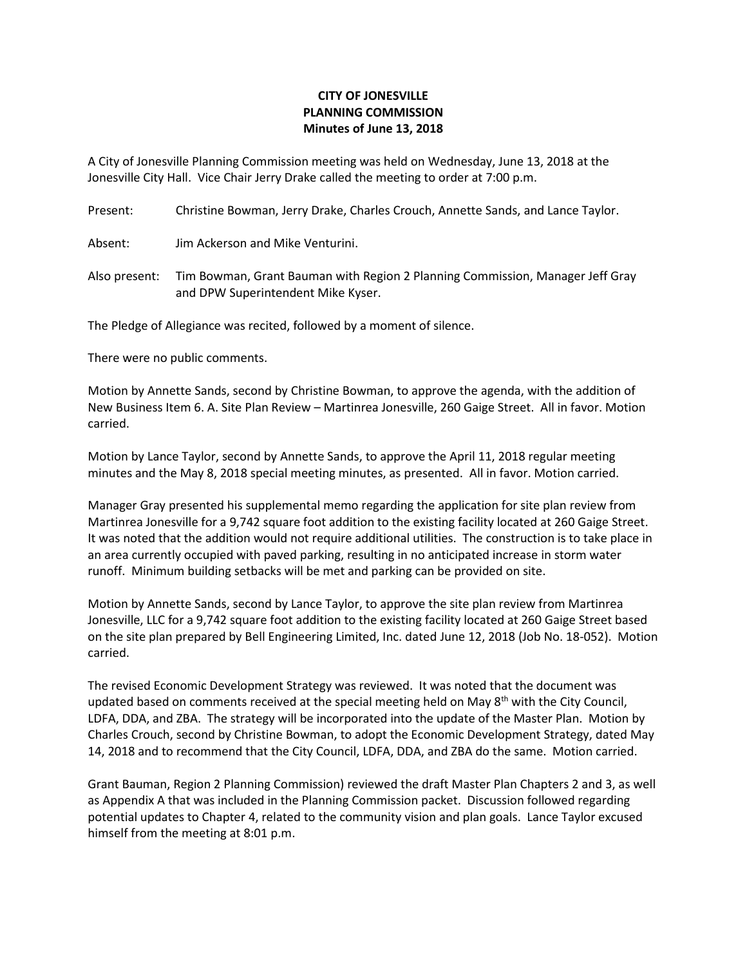## **CITY OF JONESVILLE PLANNING COMMISSION Minutes of June 13, 2018**

A City of Jonesville Planning Commission meeting was held on Wednesday, June 13, 2018 at the Jonesville City Hall. Vice Chair Jerry Drake called the meeting to order at 7:00 p.m.

Present: Christine Bowman, Jerry Drake, Charles Crouch, Annette Sands, and Lance Taylor.

Absent: Jim Ackerson and Mike Venturini.

Also present: Tim Bowman, Grant Bauman with Region 2 Planning Commission, Manager Jeff Gray and DPW Superintendent Mike Kyser.

The Pledge of Allegiance was recited, followed by a moment of silence.

There were no public comments.

Motion by Annette Sands, second by Christine Bowman, to approve the agenda, with the addition of New Business Item 6. A. Site Plan Review – Martinrea Jonesville, 260 Gaige Street. All in favor. Motion carried.

Motion by Lance Taylor, second by Annette Sands, to approve the April 11, 2018 regular meeting minutes and the May 8, 2018 special meeting minutes, as presented. All in favor. Motion carried.

Manager Gray presented his supplemental memo regarding the application for site plan review from Martinrea Jonesville for a 9,742 square foot addition to the existing facility located at 260 Gaige Street. It was noted that the addition would not require additional utilities. The construction is to take place in an area currently occupied with paved parking, resulting in no anticipated increase in storm water runoff. Minimum building setbacks will be met and parking can be provided on site.

Motion by Annette Sands, second by Lance Taylor, to approve the site plan review from Martinrea Jonesville, LLC for a 9,742 square foot addition to the existing facility located at 260 Gaige Street based on the site plan prepared by Bell Engineering Limited, Inc. dated June 12, 2018 (Job No. 18-052). Motion carried.

The revised Economic Development Strategy was reviewed. It was noted that the document was updated based on comments received at the special meeting held on May 8<sup>th</sup> with the City Council, LDFA, DDA, and ZBA. The strategy will be incorporated into the update of the Master Plan. Motion by Charles Crouch, second by Christine Bowman, to adopt the Economic Development Strategy, dated May 14, 2018 and to recommend that the City Council, LDFA, DDA, and ZBA do the same. Motion carried.

Grant Bauman, Region 2 Planning Commission) reviewed the draft Master Plan Chapters 2 and 3, as well as Appendix A that was included in the Planning Commission packet. Discussion followed regarding potential updates to Chapter 4, related to the community vision and plan goals. Lance Taylor excused himself from the meeting at 8:01 p.m.